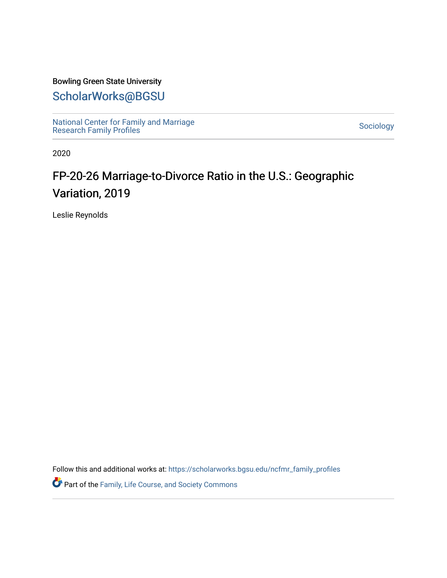### Bowling Green State University

### [ScholarWorks@BGSU](https://scholarworks.bgsu.edu/)

[National Center for Family and Marriage](https://scholarworks.bgsu.edu/ncfmr_family_profiles)  [Research Family Profiles](https://scholarworks.bgsu.edu/ncfmr_family_profiles) [Sociology](https://scholarworks.bgsu.edu/sociology) 

2020

# FP-20-26 Marriage-to-Divorce Ratio in the U.S.: Geographic Variation, 2019

Leslie Reynolds

Follow this and additional works at: [https://scholarworks.bgsu.edu/ncfmr\\_family\\_profiles](https://scholarworks.bgsu.edu/ncfmr_family_profiles?utm_source=scholarworks.bgsu.edu%2Fncfmr_family_profiles%2F243&utm_medium=PDF&utm_campaign=PDFCoverPages)

Part of the [Family, Life Course, and Society Commons](http://network.bepress.com/hgg/discipline/419?utm_source=scholarworks.bgsu.edu%2Fncfmr_family_profiles%2F243&utm_medium=PDF&utm_campaign=PDFCoverPages)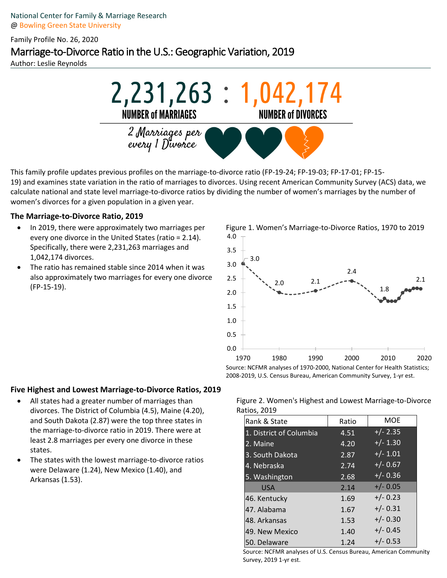National Center for Family & Marriage Research @ Bowling Green State University

Family Profile No. 26, 2020

## Marriage-to-Divorce Ratio in the U.S.: Geographic Variation, 2019

Author: Leslie Reynolds



This family profile updates previous profiles on the marriage-to-divorce ratio (FP-19-24; FP-19-03; FP-17-01; FP-15- 19) and examines state variation in the ratio of marriages to divorces. Using recent American Community Survey (ACS) data, we calculate national and state level marriage-to-divorce ratios by dividing the number of women's marriages by the number of women's divorces for a given population in a given year.

#### **The Marriage-to-Divorce Ratio, 2019**

- In 2019, there were approximately two marriages per every one divorce in the United States (ratio = 2.14). Specifically, there were 2,231,263 marriages and 1,042,174 divorces.
- The ratio has remained stable since 2014 when it was also approximately two marriages for every one divorce (FP-15-19).

Figure 1. Women's Marriage-to-Divorce Ratios, 1970 to 2019 4.0



Source: NCFMR analyses of 1970-2000, National Center for Health Statistics; 2008-2019, U.S. Census Bureau, American Community Survey, 1-yr est.

#### **Five Highest and Lowest Marriage-to-Divorce Ratios, 2019**

- All states had a greater number of marriages than divorces. The District of Columbia (4.5), Maine (4.20), and South Dakota (2.87) were the top three states in the marriage-to-divorce ratio in 2019. There were at least 2.8 marriages per every one divorce in these states.
- The states with the lowest marriage-to-divorce ratios were Delaware (1.24), New Mexico (1.40), and Arkansas (1.53).

Figure 2. Women's Highest and Lowest Marriage-to-Divorce Ratios, 2019

| Rank & State            | Ratio | <b>MOE</b> |
|-------------------------|-------|------------|
| 1. District of Columbia | 4.51  | $+/- 2.35$ |
| 2. Maine                | 4.20  | $+/- 1.30$ |
| 3. South Dakota         | 2.87  | $+/- 1.01$ |
| 4. Nebraska             | 2.74  | $+/- 0.67$ |
| 5. Washington           | 2.68  | $+/- 0.36$ |
| <b>USA</b>              | 2.14  | $+/- 0.05$ |
| 46. Kentucky            | 1.69  | $+/- 0.23$ |
| 47. Alabama             | 1.67  | $+/- 0.31$ |
| 48. Arkansas            | 1.53  | $+/- 0.30$ |
| 49. New Mexico          | 1.40  | $+/- 0.45$ |
| 50. Delaware            | 1.24  | $+/- 0.53$ |

Source: NCFMR analyses of U.S. Census Bureau, American Community Survey, 2019 1-yr est.